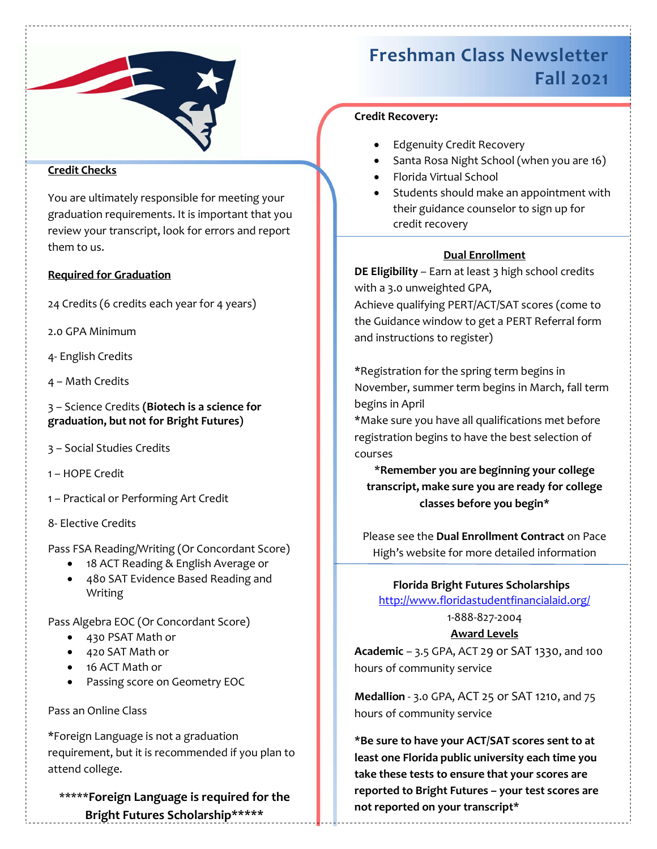

# Credit Checks

You are ultimately responsible for meeting your graduation requirements. It is important that you review your transcript, look for errors and report them to us.

# Required for Graduation

24 Credits (6 credits each year for 4 years)

2.0 GPA Minimum

- 4- English Credits
- 4 Math Credits

3 – Science Credits (Biotech is a science for graduation, but not for Bright Futures)

- 3 Social Studies Credits
- 1 HOPE Credit
- 1 Practical or Performing Art Credit
- 8- Elective Credits

Pass FSA Reading/Writing (Or Concordant Score)

- 18 ACT Reading & English Average or
- 480 SAT Evidence Based Reading and Writing

Pass Algebra EOC (Or Concordant Score)

- 430 PSAT Math or
- 420 SAT Math or
- 16 ACT Math or
- Passing score on Geometry EOC

# Pass an Online Class

\*Foreign Language is not a graduation requirement, but it is recommended if you plan to attend college.

\*\*\*\*\*Foreign Language is required for the Bright Futures Scholarship\*\*\*\*\*

# Freshman Class Newsletter Fall 2021

# Credit Recovery:

- Edgenuity Credit Recovery
- Santa Rosa Night School (when you are 16)
- Florida Virtual School
- Students should make an appointment with their guidance counselor to sign up for credit recovery

# Dual Enrollment

DE Eligibility - Earn at least 3 high school credits with a 3.0 unweighted GPA,

Achieve qualifying PERT/ACT/SAT scores (come to the Guidance window to get a PERT Referral form and instructions to register)

\*Registration for the spring term begins in November, summer term begins in March, fall term begins in April

\*Make sure you have all qualifications met before registration begins to have the best selection of courses

\*Remember you are beginning your college transcript, make sure you are ready for college classes before you begin\*

Please see the Dual Enrollment Contract on Pace High's website for more detailed information

# Florida Bright Futures Scholarships

http://www.floridastudentfinancialaid.org/

# 1-888-827-2004

## Award Levels

Academic – 3.5 GPA, ACT 29 or SAT 1330, and 100 hours of community service

Medallion - 3.0 GPA, ACT 25 or SAT 1210, and 75 hours of community service

\*Be sure to have your ACT/SAT scores sent to at least one Florida public university each time you take these tests to ensure that your scores are reported to Bright Futures – your test scores are not reported on your transcript\*